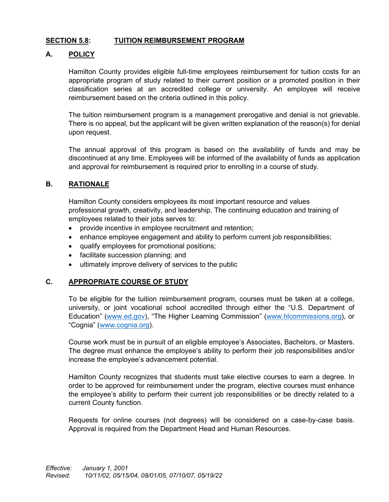## **SECTION 5.8: TUITION REIMBURSEMENT PROGRAM**

## **A. POLICY**

Hamilton County provides eligible full-time employees reimbursement for tuition costs for an appropriate program of study related to their current position or a promoted position in their classification series at an accredited college or university. An employee will receive reimbursement based on the criteria outlined in this policy.

The tuition reimbursement program is a management prerogative and denial is not grievable. There is no appeal, but the applicant will be given written explanation of the reason(s) for denial upon request.

The annual approval of this program is based on the availability of funds and may be discontinued at any time. Employees will be informed of the availability of funds as application and approval for reimbursement is required prior to enrolling in a course of study.

### **B. RATIONALE**

Hamilton County considers employees its most important resource and values professional growth, creativity, and leadership. The continuing education and training of employees related to their jobs serves to:

- provide incentive in employee recruitment and retention;
- enhance employee engagement and ability to perform current job responsibilities;
- qualify employees for promotional positions;
- facilitate succession planning; and
- ultimately improve delivery of services to the public

#### **C. APPROPRIATE COURSE OF STUDY**

To be eligible for the tuition reimbursement program, courses must be taken at a college, university, or joint vocational school accredited through either the "U.S. Department of Education" [\(www.ed.gov\)](http://www.ed.gov/), "The Higher Learning Commission" [\(www.hlcommissions.org\)](http://www.hlcommissions.org/), or "Cognia" [\(www.cognia.org\)](http://www.cognia.org/).

Course work must be in pursuit of an eligible employee's Associates, Bachelors, or Masters. The degree must enhance the employee's ability to perform their job responsibilities and/or increase the employee's advancement potential.

Hamilton County recognizes that students must take elective courses to earn a degree. In order to be approved for reimbursement under the program, elective courses must enhance the employee's ability to perform their current job responsibilities or be directly related to a current County function.

Requests for online courses (not degrees) will be considered on a case-by-case basis. Approval is required from the Department Head and Human Resources.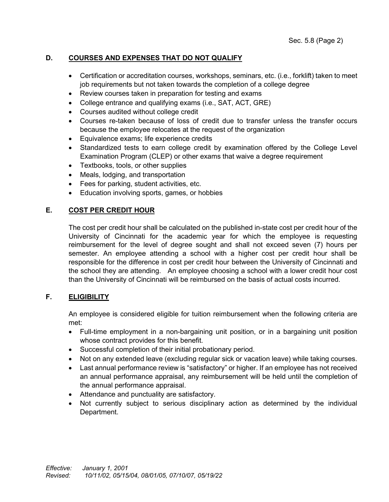# **D. COURSES AND EXPENSES THAT DO NOT QUALIFY**

- Certification or accreditation courses, workshops, seminars, etc. (i.e., forklift) taken to meet job requirements but not taken towards the completion of a college degree
- Review courses taken in preparation for testing and exams
- College entrance and qualifying exams (i.e., SAT, ACT, GRE)
- Courses audited without college credit
- Courses re-taken because of loss of credit due to transfer unless the transfer occurs because the employee relocates at the request of the organization
- Equivalence exams; life experience credits
- Standardized tests to earn college credit by examination offered by the College Level Examination Program (CLEP) or other exams that waive a degree requirement
- Textbooks, tools, or other supplies
- Meals, lodging, and transportation
- Fees for parking, student activities, etc.
- Education involving sports, games, or hobbies

## **E. COST PER CREDIT HOUR**

The cost per credit hour shall be calculated on the published in-state cost per credit hour of the University of Cincinnati for the academic year for which the employee is requesting reimbursement for the level of degree sought and shall not exceed seven (7) hours per semester. An employee attending a school with a higher cost per credit hour shall be responsible for the difference in cost per credit hour between the University of Cincinnati and the school they are attending. An employee choosing a school with a lower credit hour cost than the University of Cincinnati will be reimbursed on the basis of actual costs incurred.

## **F. ELIGIBILITY**

An employee is considered eligible for tuition reimbursement when the following criteria are met:

- Full-time employment in a non-bargaining unit position, or in a bargaining unit position whose contract provides for this benefit.
- Successful completion of their initial probationary period.
- Not on any extended leave (excluding regular sick or vacation leave) while taking courses.
- Last annual performance review is "satisfactory" or higher. If an employee has not received an annual performance appraisal, any reimbursement will be held until the completion of the annual performance appraisal.
- Attendance and punctuality are satisfactory.
- Not currently subject to serious disciplinary action as determined by the individual Department.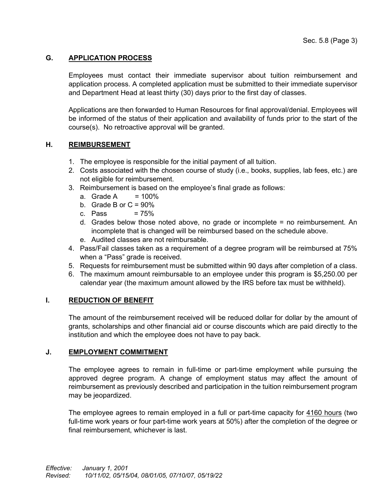# **G. APPLICATION PROCESS**

Employees must contact their immediate supervisor about tuition reimbursement and application process. A completed application must be submitted to their immediate supervisor and Department Head at least thirty (30) days prior to the first day of classes.

Applications are then forwarded to Human Resources for final approval/denial. Employees will be informed of the status of their application and availability of funds prior to the start of the course(s). No retroactive approval will be granted.

### **H. REIMBURSEMENT**

- 1. The employee is responsible for the initial payment of all tuition.
- 2. Costs associated with the chosen course of study (i.e., books, supplies, lab fees, etc.) are not eligible for reimbursement.
- 3. Reimbursement is based on the employee's final grade as follows:
	- a. Grade A  $= 100\%$
	- b. Grade B or  $C = 90\%$
	- c. Pass  $= 75%$
	- d. Grades below those noted above, no grade or incomplete = no reimbursement. An incomplete that is changed will be reimbursed based on the schedule above.
	- e. Audited classes are not reimbursable.
- 4. Pass/Fail classes taken as a requirement of a degree program will be reimbursed at 75% when a "Pass" grade is received.
- 5. Requests for reimbursement must be submitted within 90 days after completion of a class.
- 6. The maximum amount reimbursable to an employee under this program is \$5,250.00 per calendar year (the maximum amount allowed by the IRS before tax must be withheld).

### **I. REDUCTION OF BENEFIT**

The amount of the reimbursement received will be reduced dollar for dollar by the amount of grants, scholarships and other financial aid or course discounts which are paid directly to the institution and which the employee does not have to pay back.

### **J. EMPLOYMENT COMMITMENT**

The employee agrees to remain in full-time or part-time employment while pursuing the approved degree program. A change of employment status may affect the amount of reimbursement as previously described and participation in the tuition reimbursement program may be jeopardized.

The employee agrees to remain employed in a full or part-time capacity for 4160 hours (two full-time work years or four part-time work years at 50%) after the completion of the degree or final reimbursement, whichever is last.